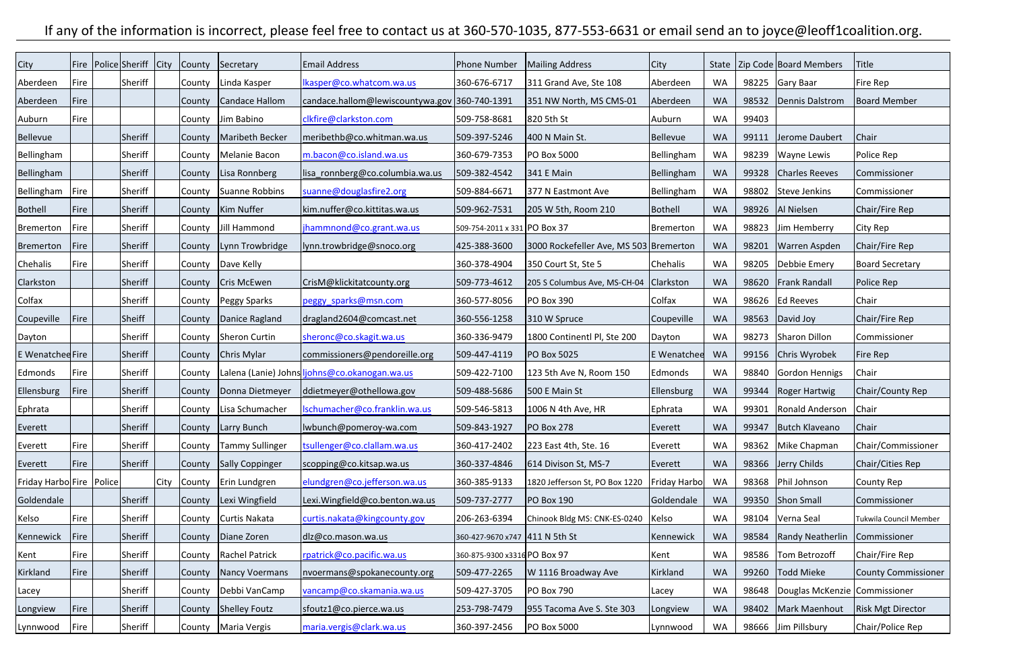## If any of the information is incorrect, please feel free to contact us at 360-570-1035, 877-553-6631 or email send an to joyce@leoff1coalition.org.

| <b>City</b>                | Fire | Police Sheriff City | County        | Secretary               | Email Address                                 | <b>Phone Number</b>            | Mailing Address                        | City            | <b>State</b> |       | Zip Code Board Members        | Title                      |
|----------------------------|------|---------------------|---------------|-------------------------|-----------------------------------------------|--------------------------------|----------------------------------------|-----------------|--------------|-------|-------------------------------|----------------------------|
| Aberdeen                   | Fire | Sheriff             | County        | Linda Kasper            | Ikasper@co.whatcom.wa.us                      | 360-676-6717                   | 311 Grand Ave, Ste 108                 | Aberdeen        | <b>WA</b>    | 98225 | Gary Baar                     | Fire Rep                   |
| Aberdeen                   | Fire |                     | County        | Candace Hallom          | candace.hallom@lewiscountywa.gov 360-740-1391 |                                | 351 NW North, MS CMS-01                | Aberdeen        | <b>WA</b>    | 98532 | Dennis Dalstrom               | <b>Board Member</b>        |
| Auburn                     | Fire |                     | County        | Jim Babino              | clkfire@clarkston.com                         | 509-758-8681                   | 820 5th St                             | Auburn          | <b>WA</b>    | 99403 |                               |                            |
| Bellevue                   |      | Sheriff             | County        | Maribeth Becker         | meribethb@co.whitman.wa.us                    | 509-397-5246                   | 400 N Main St.                         | <b>Bellevue</b> | <b>WA</b>    | 99111 | Jerome Daubert                | Chair                      |
| Bellingham                 |      | Sheriff             | County        | Melanie Bacon           | m.bacon@co.island.wa.us                       | 360-679-7353                   | <b>PO Box 5000</b>                     | Bellingham      | <b>WA</b>    | 98239 | <b>Wayne Lewis</b>            | Police Rep                 |
| Bellingham                 |      | Sheriff             | County        | Lisa Ronnberg           | lisa_ronnberg@co.columbia.wa.us               | 509-382-4542                   | 341 E Main                             | Bellingham      | <b>WA</b>    | 99328 | Charles Reeves                | Commissioner               |
| Bellingham                 | Fire | Sheriff             | County        | Suanne Robbins          | suanne@douglasfire2.org                       | 509-884-6671                   | 377 N Eastmont Ave                     | Bellingham      | <b>WA</b>    | 98802 | Steve Jenkins                 | Commissioner               |
| Bothell                    | Fire | Sheriff             | County        | Kim Nuffer              | kim.nuffer@co.kittitas.wa.us                  | 509-962-7531                   | 205 W 5th, Room 210                    | Bothell         | <b>WA</b>    | 98926 | Al Nielsen                    | Chair/Fire Rep             |
| Bremerton                  | Fire | Sheriff             | County        | Jill Hammond            | jhammnond@co.grant.wa.us                      | 509-754-2011 x 331 PO Box 37   |                                        | Bremerton       | WA           | 98823 | Jim Hemberry                  | City Rep                   |
| Bremerton                  | Fire | Sheriff             | County        | Lynn Trowbridge         | llynn.trowbridge@snoco.org                    | 425-388-3600                   | 3000 Rockefeller Ave, MS 503 Bremerton |                 | <b>WA</b>    | 98201 | Warren Aspden                 | Chair/Fire Rep             |
| Chehalis                   | Fire | Sheriff             | County        | Dave Kelly              |                                               | 360-378-4904                   | 350 Court St, Ste 5                    | Chehalis        | <b>WA</b>    | 98205 | Debbie Emery                  | <b>Board Secretary</b>     |
| Clarkston                  |      | Sheriff             | County        | Cris McEwen             | CrisM@klickitatcounty.org                     | 509-773-4612                   | 205 S Columbus Ave, MS-CH-04           | Clarkston       | <b>WA</b>    | 98620 | <b>Frank Randall</b>          | Police Rep                 |
| Colfax                     |      | Sheriff             | County        | Peggy Sparks            | peggy_sparks@msn.com                          | 360-577-8056                   | <b>PO Box 390</b>                      | Colfax          | <b>WA</b>    | 98626 | <b>Ed Reeves</b>              | Chair                      |
| Coupeville                 | Fire | Sheiff              | County        | Danice Ragland          | dragland2604@comcast.net                      | 360-556-1258                   | 310 W Spruce                           | Coupeville      | <b>WA</b>    | 98563 | David Joy                     | Chair/Fire Rep             |
| Dayton                     |      | Sheriff             | County        | Sheron Curtin           | sheronc@co.skagit.wa.us                       | 360-336-9479                   | 1800 Continentl Pl, Ste 200            | Dayton          | <b>WA</b>    | 98273 | Sharon Dillon                 | Commissioner               |
| E Wenatched Fire           |      | Sheriff             | County        | Chris Mylar             | commissioners@pendoreille.org                 | 509-447-4119                   | <b>PO Box 5025</b>                     | E Wenatchee     | <b>WA</b>    | 99156 | Chris Wyrobek                 | Fire Rep                   |
| Edmonds                    | Fire | Sheriff             | County        |                         | Lalena (Lanie) Johns ljohns@co.okanogan.wa.us | 509-422-7100                   | 123 5th Ave N, Room 150                | Edmonds         | <b>WA</b>    | 98840 | Gordon Hennigs                | Chair                      |
| Ellensburg                 | Fire | Sheriff             | County        | Donna Dietmeyer         | ddietmeyer@othellowa.gov                      | 509-488-5686                   | 500 E Main St                          | Ellensburg      | <b>WA</b>    | 99344 | Roger Hartwig                 | Chair/County Rep           |
| Ephrata                    |      | Sheriff             | County        | Lisa Schumacher         | Ischumacher@co.franklin.wa.us                 | 509-546-5813                   | 1006 N 4th Ave, HR                     | Ephrata         | <b>WA</b>    | 99301 | Ronald Anderson               | Chair                      |
| Everett                    |      | Sheriff             |               | County   Larry Bunch    | lwbunch@pomeroy-wa.com                        | 509-843-1927                   | <b>PO Box 278</b>                      | Everett         | <b>WA</b>    | 99347 | Butch Klaveano                | Chair                      |
| Everett                    | Fire | Sheriff             | County        | <b>Tammy Sullinger</b>  | tsullenger@co.clallam.wa.us                   | 360-417-2402                   | 223 East 4th, Ste. 16                  | Everett         | WA           | 98362 | Mike Chapman                  | Chair/Commissioner         |
| Everett                    | Fire | Sheriff             | County        | Sally Coppinger         | scopping@co.kitsap.wa.us                      | 360-337-4846                   | 614 Divison St, MS-7                   | Everett         | <b>WA</b>    | 98366 | Jerry Childs                  | Chair/Cities Rep           |
| Friday Harbo Fire   Police |      |                     | City County   | Erin Lundgren           | elundgren@co.jefferson.wa.us                  | 360-385-9133                   | 1820 Jefferson St, PO Box 1220         | Friday Harbol   | WA           | 98368 | Phil Johnson                  | County Rep                 |
| Goldendale                 |      | Sheriff             | County        | Lexi Wingfield          | Lexi. Wingfield@co.benton.wa.us               | 509-737-2777                   | <b>PO Box 190</b>                      | Goldendale      | <b>WA</b>    | 99350 | Shon Small                    | Commissioner               |
| Kelso                      | Fire | Sheriff             | County        | Curtis Nakata           | curtis.nakata@kingcounty.gov                  | 206-263-6394                   | Chinook Bldg MS: CNK-ES-0240           | Kelso           | WA           | 98104 | Verna Seal                    | Tukwila Council Member     |
| Kennewick                  | Fire | Sheriff             | County        | Diane Zoren             | dlz@co.mason.wa.us                            | 360-427-9670 x747 411 N 5th St |                                        | Kennewick       | <b>WA</b>    | 98584 | Randy Neatherlin              | Commissioner               |
| Kent                       | Fire | Sheriff             |               | County   Rachel Patrick | rpatrick@co.pacific.wa.us                     | 360-875-9300 x3316 PO Box 97   |                                        | Kent            | WA           | 98586 | Tom Betrozoff                 | Chair/Fire Rep             |
| Kirkland                   | Fire | Sheriff             | <b>County</b> | Nancy Voermans          | nvoermans@spokanecounty.org                   | 509-477-2265                   | W 1116 Broadway Ave                    | Kirkland        | <b>WA</b>    | 99260 | Todd Mieke                    | <b>County Commissioner</b> |
| Lacey                      |      | Sheriff             | County        | Debbi VanCamp           | vancamp@co.skamania.wa.us                     | 509-427-3705                   | <b>PO Box 790</b>                      | Lacey           | <b>WA</b>    | 98648 | Douglas McKenzie Commissioner |                            |
| Longview                   | Fire | Sheriff             | County        | Shelley Foutz           | sfoutz1@co.pierce.wa.us                       | 253-798-7479                   | 955 Tacoma Ave S. Ste 303              | Longview        | <b>WA</b>    | 98402 | Mark Maenhout                 | <b>Risk Mgt Director</b>   |
| Lynnwood                   | Fire | Sheriff             | County        | Maria Vergis            | maria.vergis@clark.wa.us                      | 360-397-2456                   | <b>PO Box 5000</b>                     | Lynnwood        | WA           |       | 98666 Jim Pillsbury           | Chair/Police Rep           |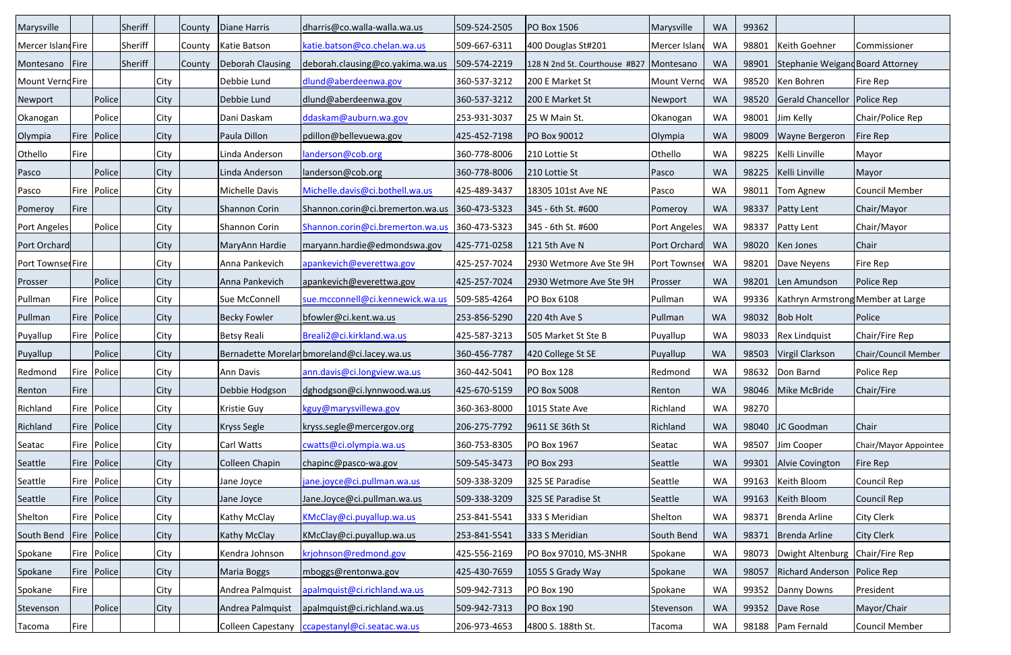| Marysville        |          |               | Sheriff |             | County | Diane Harris     | dharris@co.walla-walla.wa.us                    | 509-524-2505 | <b>PO Box 1506</b>                        | Marysville   | <b>WA</b> | 99362 |                                   |                       |
|-------------------|----------|---------------|---------|-------------|--------|------------------|-------------------------------------------------|--------------|-------------------------------------------|--------------|-----------|-------|-----------------------------------|-----------------------|
| Mercer IslandFire |          |               | Sheriff |             | County | Katie Batson     | katie.batson@co.chelan.wa.us                    | 509-667-6311 | 400 Douglas St#201                        | Mercer Islan | WA        | 98801 | Keith Goehner                     | Commissioner          |
| Montesano         | $ $ Fire |               | Sheriff |             | County | Deborah Clausing | deborah.clausing@co.yakima.wa.us                | 509-574-2219 | 128 N 2nd St. Courthouse #B27   Montesano |              | <b>WA</b> | 98901 | Stephanie Weigand Board Attorney  |                       |
| Mount VerndFire   |          |               |         | City        |        | Debbie Lund      | dlund@aberdeenwa.gov                            | 360-537-3212 | 200 E Market St                           | Mount Vernd  | WA        | 98520 | Ken Bohren                        | Fire Rep              |
| Newport           |          | Police        |         | City        |        | Debbie Lund      | dlund@aberdeenwa.gov                            | 360-537-3212 | 200 E Market St                           | Newport      | <b>WA</b> | 98520 | Gerald Chancellor   Police Rep    |                       |
| Okanogan          |          | Police        |         | City        |        | Dani Daskam      | ddaskam@auburn.wa.gov                           | 253-931-3037 | 25 W Main St.                             | Okanogan     | WA        | 98001 | Jim Kelly                         | Chair/Police Rep      |
| Olympia           |          | Fire   Police |         | <b>City</b> |        | Paula Dillon     | pdillon@bellevuewa.gov                          | 425-452-7198 | <b>PO Box 90012</b>                       | Olympia      | <b>WA</b> | 98009 | <b>Wayne Bergeron</b>             | Fire Rep              |
| Othello           | Fire     |               |         | City        |        | Linda Anderson   | landerson@cob.org                               | 360-778-8006 | 210 Lottie St                             | Othello      | <b>WA</b> | 98225 | Kelli Linville                    | Mayor                 |
| Pasco             |          | Police        |         | <b>City</b> |        | Linda Anderson   | landerson@cob.org                               | 360-778-8006 | 210 Lottie St                             | Pasco        | <b>WA</b> | 98225 | Kelli Linville                    | Mayor                 |
| Pasco             |          | Fire   Police |         | City        |        | Michelle Davis   | Michelle.davis@ci.bothell.wa.us                 | 425-489-3437 | 18305 101st Ave NE                        | Pasco        | <b>WA</b> | 98011 | Tom Agnew                         | <b>Council Member</b> |
| Pomeroy           | Fire     |               |         | City        |        | Shannon Corin    | Shannon.corin@ci.bremerton.wa.us                | 360-473-5323 | 345 - 6th St. #600                        | Pomeroy      | <b>WA</b> | 98337 | <b>Patty Lent</b>                 | Chair/Mayor           |
| Port Angeles      |          | Police        |         | City        |        | Shannon Corin    | Shannon.corin@ci.bremerton.wa.us                | 360-473-5323 | 345 - 6th St. #600                        | Port Angeles | <b>WA</b> | 98337 | <b>Patty Lent</b>                 | Chair/Mayor           |
| Port Orchard      |          |               |         | City        |        | MaryAnn Hardie   | maryann.hardie@edmondswa.gov                    | 425-771-0258 | 121 5th Ave N                             | Port Orchard | WA        | 98020 | Ken Jones                         | Chair                 |
| Port Townser Fire |          |               |         | City        |        | Anna Pankevich   | apankevich@everettwa.gov                        | 425-257-7024 | 2930 Wetmore Ave Ste 9H                   | Port Townser | <b>WA</b> | 98201 | Dave Neyens                       | Fire Rep              |
| Prosser           |          | Police        |         | City        |        | Anna Pankevich   | apankevich@everettwa.gov                        | 425-257-7024 | 2930 Wetmore Ave Ste 9H                   | Prosser      | <b>WA</b> | 98201 | Len Amundson                      | Police Rep            |
| Pullman           |          | Fire   Police |         | City        |        | Sue McConnell    | sue.mcconnell@ci.kennewick.wa.us                | 509-585-4264 | PO Box 6108                               | Pullman      | <b>WA</b> | 99336 | Kathryn Armstrong Member at Large |                       |
| Pullman           | Fire     | Police        |         | City        |        | Becky Fowler     | bfowler@ci.kent.wa.us                           | 253-856-5290 | 220 4th Ave S                             | Pullman      | <b>WA</b> | 98032 | <b>Bob Holt</b>                   | Police                |
| Puyallup          |          | Fire   Police |         | City        |        | Betsy Reali      | Breali2@ci.kirkland.wa.us                       | 425-587-3213 | 505 Market St Ste B                       | Puyallup     | <b>WA</b> | 98033 | Rex Lindquist                     | Chair/Fire Rep        |
| Puyallup          |          | Police        |         | City        |        |                  | Bernadette Morelanbmoreland@ci.lacey.wa.us      | 360-456-7787 | 420 College St SE                         | Puyallup     | <b>WA</b> | 98503 | Virgil Clarkson                   | Chair/Council Member  |
| Redmond           | Fire     | Police        |         | City        |        | Ann Davis        | ann.davis@ci.longview.wa.us                     | 360-442-5041 | <b>PO Box 128</b>                         | Redmond      | <b>WA</b> | 98632 | Don Barnd                         | Police Rep            |
| Renton            | Fire     |               |         | City        |        | Debbie Hodgson   | dghodgson@ci.lynnwood.wa.us                     | 425-670-5159 | <b>PO Box 5008</b>                        | Renton       | <b>WA</b> | 98046 | Mike McBride                      | Chair/Fire            |
| Richland          |          | Fire   Police |         | City        |        | Kristie Guy      | kguy@marysvillewa.gov                           | 360-363-8000 | 1015 State Ave                            | Richland     | WA        | 98270 |                                   |                       |
| Richland          |          | Fire Police   |         | City        |        | Kryss Segle      | kryss.segle@mercergov.org                       | 206-275-7792 | 9611 SE 36th St                           | Richland     | <b>WA</b> | 98040 | JC Goodman                        | Chair                 |
| Seatac            |          | Fire   Police |         | City        |        | Carl Watts       | cwatts@ci.olympia.wa.us                         | 360-753-8305 | PO Box 1967                               | Seatac       | <b>WA</b> | 98507 | Jim Cooper                        | Chair/Mayor Appointee |
| Seattle           |          | Fire  Police  |         | City        |        | Colleen Chapin   | chapinc@pasco-wa.gov                            | 509-545-3473 | <b>PO Box 293</b>                         | Seattle      | <b>WA</b> | 99301 | Alvie Covington                   | Fire Rep              |
| Seattle           |          | Fire   Police |         | City        |        | Jane Joyce       | jane.joyce@ci.pullman.wa.us                     | 509-338-3209 | 325 SE Paradise                           | Seattle      | WA        | 99163 | Keith Bloom                       | Council Rep           |
| Seattle           |          | Fire Police   |         | City        |        | Jane Joyce       | Jane.Joyce@ci.pullman.wa.us                     | 509-338-3209 | 325 SE Paradise St                        | Seattle      | <b>WA</b> | 99163 | Keith Bloom                       | Council Rep           |
| Shelton           | Fire     | Police        |         | City        |        | Kathy McClay     | KMcClay@ci.puyallup.wa.us                       | 253-841-5541 | 333 S Meridian                            | Shelton      | WA        | 98371 | Brenda Arline                     | City Clerk            |
| South Bend        | Fire     | Police        |         | City        |        | Kathy McClay     | KMcClay@ci.puyallup.wa.us                       | 253-841-5541 | 333 S Meridian                            | South Bend   | <b>WA</b> | 98371 | Brenda Arline                     | City Clerk            |
| Spokane           |          | Fire   Police |         | City        |        | Kendra Johnson   | krjohnson@redmond.gov                           | 425-556-2169 | PO Box 97010, MS-3NHR                     | Spokane      | <b>WA</b> | 98073 | Dwight Altenburg   Chair/Fire Rep |                       |
| Spokane           |          | Fire  Police  |         | City        |        | Maria Boggs      | mboggs@rentonwa.gov                             | 425-430-7659 | 1055 S Grady Way                          | Spokane      | <b>WA</b> | 98057 | Richard Anderson   Police Rep     |                       |
| Spokane           | Fire     |               |         | City        |        | Andrea Palmquist | apalmquist@ci.richland.wa.us                    | 509-942-7313 | <b>PO Box 190</b>                         | Spokane      | <b>WA</b> | 99352 | Danny Downs                       | President             |
| Stevenson         |          | Police        |         | City        |        | Andrea Palmquist | apalmquist@ci.richland.wa.us                    | 509-942-7313 | <b>PO Box 190</b>                         | Stevenson    | <b>WA</b> | 99352 | Dave Rose                         | Mayor/Chair           |
| Tacoma            | Fire     |               |         |             |        |                  | Colleen Capestany   ccapestanyl@ci.seatac.wa.us | 206-973-4653 | 4800 S. 188th St.                         | Tacoma       | WA        |       | 98188   Pam Fernald               | Council Member        |